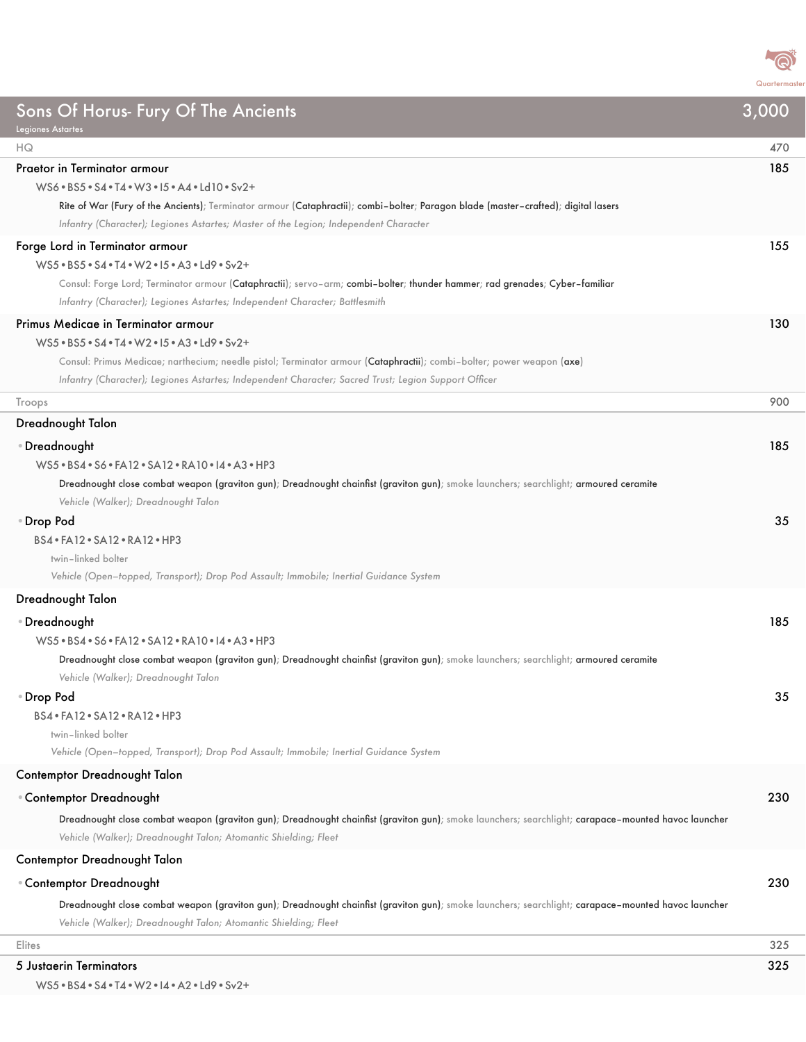

| Sons Of Horus- Fury Of The Ancients                                                                                                                                                                                    | 3,000 |
|------------------------------------------------------------------------------------------------------------------------------------------------------------------------------------------------------------------------|-------|
| <b>Legiones Astartes</b><br>HQ                                                                                                                                                                                         | 470   |
| Praetor in Terminator armour                                                                                                                                                                                           | 185   |
| WS6 . BS5 . S4 . T4 . W3 . 15 . A4 . Ld10 . Sv2+                                                                                                                                                                       |       |
| Rite of War (Fury of the Ancients); Terminator armour (Cataphractii); combi-bolter; Paragon blade (master-crafted); digital lasers                                                                                     |       |
| Infantry (Character); Legiones Astartes; Master of the Legion; Independent Character                                                                                                                                   |       |
| Forge Lord in Terminator armour                                                                                                                                                                                        | 155   |
| WS5 . BS5 . S4 . T4 . W2 . 15 . A3 . Ld9 . Sv2+                                                                                                                                                                        |       |
| Consul: Forge Lord; Terminator armour (Cataphractii); servo-arm; combi-bolter; thunder hammer; rad grenades; Cyber-familiar                                                                                            |       |
| Infantry (Character); Legiones Astartes; Independent Character; Battlesmith                                                                                                                                            |       |
| Primus Medicae in Terminator armour                                                                                                                                                                                    | 130   |
| WS5 . BS5 . S4 . T4 . W2 . 15 . A3 . Ld9 . Sv2+                                                                                                                                                                        |       |
| Consul: Primus Medicae; narthecium; needle pistol; Terminator armour (Cataphractii); combi-bolter; power weapon (axe)                                                                                                  |       |
| Infantry (Character); Legiones Astartes; Independent Character; Sacred Trust; Legion Support Officer                                                                                                                   |       |
| Troops                                                                                                                                                                                                                 | 900   |
|                                                                                                                                                                                                                        |       |
| Dreadnought Talon                                                                                                                                                                                                      |       |
| ⊕Dreadnought                                                                                                                                                                                                           | 185   |
| WS5 . BS4 . S6 . FA12 . SA12 . RA10 . 14 . A3 . HP3                                                                                                                                                                    |       |
| Dreadnought close combat weapon (graviton gun); Dreadnought chainfist (graviton gun); smoke launchers; searchlight; armoured ceramite<br>Vehicle (Walker); Dreadnought Talon                                           |       |
| ● Drop Pod                                                                                                                                                                                                             | 35    |
| BS4 . FA12 . SA12 . RA12 . HP3                                                                                                                                                                                         |       |
| twin-linked bolter                                                                                                                                                                                                     |       |
| Vehicle (Open-topped, Transport); Drop Pod Assault; Immobile; Inertial Guidance System                                                                                                                                 |       |
| Dreadnought Talon                                                                                                                                                                                                      |       |
| • Dreadnought                                                                                                                                                                                                          | 185   |
| WS5 . BS4 . S6 . FA12 . SA12 . RA10 . 14 . A3 . HP3                                                                                                                                                                    |       |
| Dreadnought close combat weapon (graviton gun); Dreadnought chainfist (graviton gun); smoke launchers; searchlight; armoured ceramite<br>Vehicle (Walker); Dreadnought Talon                                           |       |
| • Drop Pod                                                                                                                                                                                                             | 35    |
| BS4 · FA12 · SA12 · RA12 · HP3                                                                                                                                                                                         |       |
| twin-linked bolter                                                                                                                                                                                                     |       |
| Vehicle (Open-topped, Transport); Drop Pod Assault; Immobile; Inertial Guidance System                                                                                                                                 |       |
| Contemptor Dreadnought Talon                                                                                                                                                                                           |       |
| <b>Contemptor Dreadnought</b>                                                                                                                                                                                          | 230   |
| Dreadnought close combat weapon (graviton gun); Dreadnought chainfist (graviton gun); smoke launchers; searchlight; carapace-mounted havoc launcher                                                                    |       |
| Vehicle (Walker); Dreadnought Talon; Atomantic Shielding; Fleet                                                                                                                                                        |       |
| <b>Contemptor Dreadnought Talon</b>                                                                                                                                                                                    |       |
|                                                                                                                                                                                                                        |       |
| <b>Contemptor Dreadnought</b>                                                                                                                                                                                          | 230   |
| Dreadnought close combat weapon (graviton gun); Dreadnought chainfist (graviton gun); smoke launchers; searchlight; carapace-mounted havoc launcher<br>Vehicle (Walker); Dreadnought Talon; Atomantic Shielding; Fleet |       |
| Elites                                                                                                                                                                                                                 | 325   |
| 5 Justaerin Terminators                                                                                                                                                                                                | 325   |

WS5•BS4•S4•T4•W2•I4•A2•Ld9•Sv2+